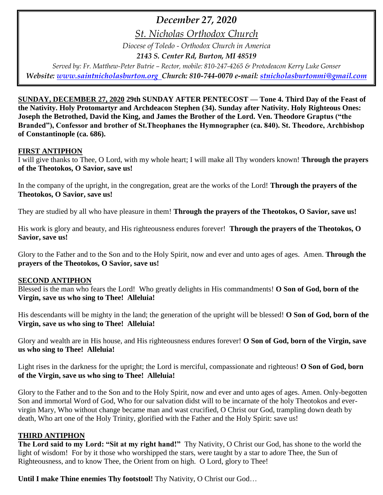## *December 27, 2020*

*St. Nicholas Orthodox Church*

*Diocese of Toledo - Orthodox Church in America*

*2143 S. Center Rd, Burton, MI 48519*

*Served by: Fr. Matthew-Peter Butrie – Rector, mobile: 810-247-4265 & Protodeacon Kerry Luke Gonser Website: [www.saintnicholasburton.org](http://www.saintnicholasburton.org/) Church: 810-744-0070 e-mail: [stnicholasburtonmi@gmail.com](mailto:stnicholasburtonmi@gmail.com)*

**SUNDAY, DECEMBER 27, 2020 29th SUNDAY AFTER PENTECOST — Tone 4. Third Day of the Feast of the Nativity. Holy Protomartyr and Archdeacon Stephen (34). Sunday after Nativity. Holy Righteous Ones: Joseph the Betrothed, David the King, and James the Brother of the Lord. Ven. Theodore Graptus ("the Branded"), Confessor and brother of St.Theophanes the Hymnographer (ca. 840). St. Theodore, Archbishop of Constantinople (ca. 686).** 

#### **FIRST ANTIPHON**

I will give thanks to Thee, O Lord, with my whole heart; I will make all Thy wonders known! **Through the prayers of the Theotokos, O Savior, save us!**

In the company of the upright, in the congregation, great are the works of the Lord! **Through the prayers of the Theotokos, O Savior, save us!**

They are studied by all who have pleasure in them! **Through the prayers of the Theotokos, O Savior, save us!**

His work is glory and beauty, and His righteousness endures forever! **Through the prayers of the Theotokos, O Savior, save us!**

Glory to the Father and to the Son and to the Holy Spirit, now and ever and unto ages of ages. Amen. **Through the prayers of the Theotokos, O Savior, save us!**

#### **SECOND ANTIPHON**

Blessed is the man who fears the Lord! Who greatly delights in His commandments! **O Son of God, born of the Virgin, save us who sing to Thee! Alleluia!**

His descendants will be mighty in the land; the generation of the upright will be blessed! **O Son of God, born of the Virgin, save us who sing to Thee! Alleluia!**

Glory and wealth are in His house, and His righteousness endures forever! **O Son of God, born of the Virgin, save us who sing to Thee! Alleluia!**

Light rises in the darkness for the upright; the Lord is merciful, compassionate and righteous! **O Son of God, born of the Virgin, save us who sing to Thee! Alleluia!**

Glory to the Father and to the Son and to the Holy Spirit, now and ever and unto ages of ages. Amen. Only-begotten Son and immortal Word of God, Who for our salvation didst will to be incarnate of the holy Theotokos and evervirgin Mary, Who without change became man and wast crucified, O Christ our God, trampling down death by death, Who art one of the Holy Trinity, glorified with the Father and the Holy Spirit: save us!

#### **THIRD ANTIPHON**

**The Lord said to my Lord: "Sit at my right hand!"** Thy Nativity, O Christ our God, has shone to the world the light of wisdom! For by it those who worshipped the stars, were taught by a star to adore Thee, the Sun of Righteousness, and to know Thee, the Orient from on high. O Lord, glory to Thee!

**Until I make Thine enemies Thy footstool!** Thy Nativity, O Christ our God…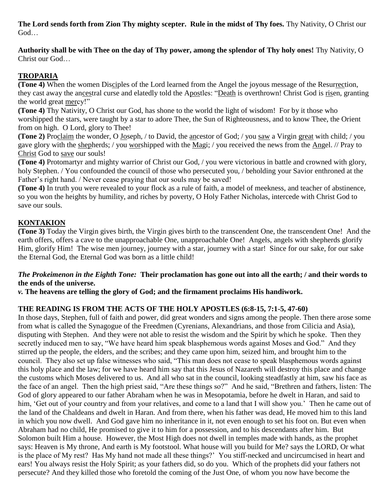**The Lord sends forth from Zion Thy mighty scepter. Rule in the midst of Thy foes.** Thy Nativity, O Christ our God…

**Authority shall be with Thee on the day of Thy power, among the splendor of Thy holy ones!** Thy Nativity, O Christ our God…

#### **TROPARIA**

**(Tone 4)** When the women Disciples of the Lord learned from the Angel the joyous message of the Resurrection, they cast away the ancestral curse and elatedly told the Apostles: "Death is overthrown! Christ God is risen, granting the world great mercy!"

**(Tone 4)** Thy Nativity, O Christ our God, has shone to the world the light of wisdom! For by it those who worshipped the stars, were taught by a star to adore Thee, the Sun of Righteousness, and to know Thee, the Orient from on high. O Lord, glory to Thee!

**(Tone 2)** Proclaim the wonder, O Joseph, / to David, the ancestor of God; / you saw a Virgin great with child; / you gave glory with the shepherds; / you worshipped with the Magi; / you received the news from the Angel. // Pray to Christ God to save our souls!

**(Tone 4)** Protomartyr and mighty warrior of Christ our God, / you were victorious in battle and crowned with glory, holy Stephen. / You confounded the council of those who persecuted you, */* beholding your Savior enthroned at the Father's right hand. / Never cease praying that our souls may be saved!

**(Tone 4)** In truth you were revealed to your flock as a rule of faith, a model of meekness, and teacher of abstinence, so you won the heights by humility, and riches by poverty, O Holy Father Nicholas, intercede with Christ God to save our souls.

### **KONTAKION**

**(Tone 3)** Today the Virgin gives birth, the Virgin gives birth to the transcendent One, the transcendent One! And the earth offers, offers a cave to the unapproachable One, unapproachable One! Angels, angels with shepherds glorify Him, glorify Him! The wise men journey, journey with a star, journey with a star! Since for our sake, for our sake the Eternal God, the Eternal God was born as a little child!

#### *The Prokeimenon in the Eighth Tone:* **Their proclamation has gone out into all the earth; / and their words to the ends of the universe.**

*v.* **The heavens are telling the glory of God; and the firmament proclaims His handiwork.**

#### **THE READING IS FROM THE ACTS OF THE HOLY APOSTLES (6:8-15, 7:1-5, 47-60)**

In those days, Stephen, full of faith and power, did great wonders and signs among the people. Then there arose some from what is called the Synagogue of the Freedmen (Cyrenians, Alexandrians, and those from Cilicia and Asia), disputing with Stephen.And they were not able to resist the wisdom and the Spirit by which he spoke. Then they secretly induced men to say, "We have heard him speak blasphemous words against Moses and God." And they stirred up the people, the elders, and the scribes; and they came upon him, seized him, and brought him to the council. They also set up false witnesses who said, "This man does not cease to speak blasphemous words against this holy place and the law; for we have heard him say that this Jesus of Nazareth will destroy this place and change the customs which Moses delivered to us. And all who sat in the council, looking steadfastly at him, saw his face as the face of an angel. Then the high priest said, "Are these things so?" And he said, "Brethren and fathers, listen: The God of glory appeared to our father Abraham when he was in Mesopotamia, before he dwelt in Haran, and said to him, 'Get out of your country and from your relatives, and come to a land that I will show you.' Then he came out of the land of the Chaldeans and dwelt in Haran. And from there, when his father was dead, He moved him to this land in which you now dwell. And God gave him no inheritance in it, not even enough to set his foot on. But even when Abraham had no child, He promised to give it to him for a possession, and to his descendants after him. But Solomon built Him a house. However, the Most High does not dwell in temples made with hands, as the prophet says: Heaven is My throne, And earth is My footstool. What house will you build for Me? says the LORD, Or what is the place of My rest? Has My hand not made all these things?' You stiff-necked and uncircumcised in heart and ears! You always resist the Holy Spirit; as your fathers did, so do you. Which of the prophets did your fathers not persecute? And they killed those who foretold the coming of the Just One, of whom you now have become the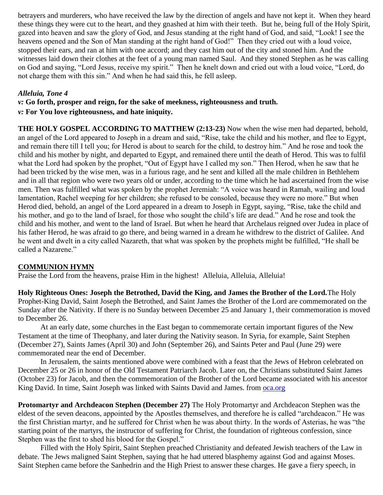betrayers and murderers, who have received the law by the direction of angels and have not kept it. When they heard these things they were cut to the heart, and they gnashed at him with their teeth. But he, being full of the Holy Spirit, gazed into heaven and saw the glory of God, and Jesus standing at the right hand of God, and said, "Look! I see the heavens opened and the Son of Man standing at the right hand of God!" Then they cried out with a loud voice, stopped their ears, and ran at him with one accord; and they cast him out of the city and stoned him. And the witnesses laid down their clothes at the feet of a young man named Saul. And they stoned Stephen as he was calling on God and saying, "Lord Jesus, receive my spirit." Then he knelt down and cried out with a loud voice, "Lord, do not charge them with this sin." And when he had said this, he fell asleep.

#### *Alleluia, Tone 4*

*v:* **Go forth, prosper and reign, for the sake of meekness, righteousness and truth.**

*v:* **For You love righteousness, and hate iniquity.**

**THE HOLY GOSPEL ACCORDING TO MATTHEW (2:13-23)** Now when the wise men had departed, behold, an angel of the Lord appeared to Joseph in a dream and said, "Rise, take the child and his mother, and flee to Egypt, and remain there till I tell you; for Herod is about to search for the child, to destroy him." And he rose and took the child and his mother by night, and departed to Egypt, and remained there until the death of Herod. This was to fulfil what the Lord had spoken by the prophet, "Out of Egypt have I called my son." Then Herod, when he saw that he had been tricked by the wise men, was in a furious rage, and he sent and killed all the male children in Bethlehem and in all that region who were two years old or under, according to the time which he had ascertained from the wise men. Then was fulfilled what was spoken by the prophet Jeremiah: "A voice was heard in Ramah, wailing and loud lamentation, Rachel weeping for her children; she refused to be consoled, because they were no more." But when Herod died, behold, an angel of the Lord appeared in a dream to Joseph in Egypt, saying, "Rise, take the child and his mother, and go to the land of Israel, for those who sought the child's life are dead." And he rose and took the child and his mother, and went to the land of Israel. But when he heard that Archelaus reigned over Judea in place of his father Herod, he was afraid to go there, and being warned in a dream he withdrew to the district of Galilee. And he went and dwelt in a city called Nazareth, that what was spoken by the prophets might be fulfilled, "He shall be called a Nazarene."

#### **COMMUNION HYMN**

Praise the Lord from the heavens, praise Him in the highest! Alleluia, Alleluia, Alleluia!

**Holy Righteous Ones: Joseph the Betrothed, David the King, and James the Brother of the Lord.**The Holy Prophet-King David, Saint Joseph the Betrothed, and Saint James the Brother of the Lord are commemorated on the Sunday after the Nativity. If there is no Sunday between December 25 and January 1, their commemoration is moved to December 26.

At an early date, some churches in the East began to commemorate certain important figures of the New Testament at the time of Theophany, and later during the Nativity season. In Syria, for example, Saint Stephen (December 27), Saints James (April 30) and John (September 26), and Saints Peter and Paul (June 29) were commemorated near the end of December.

In Jerusalem, the saints mentioned above were combined with a feast that the Jews of Hebron celebrated on December 25 or 26 in honor of the Old Testament Patriarch Jacob. Later on, the Christians substituted Saint James (October 23) for Jacob, and then the commemoration of the Brother of the Lord became associated with his ancestor King David. In time, Saint Joseph was linked with Saints David and James. from [oca.org](https://www.oca.org/saints/lives/2020/12/27/86-sunday-after-the-nativity-commemoration-of-the-holy-righteous-da)

**Protomartyr and Archdeacon Stephen (December 27)** The Holy Protomartyr and Archdeacon Stephen was the eldest of the seven deacons, appointed by the Apostles themselves, and therefore he is called "archdeacon." He was the first Christian martyr, and he suffered for Christ when he was about thirty. In the words of Asterias, he was "the starting point of the martyrs, the instructor of suffering for Christ, the foundation of righteous confession, since Stephen was the first to shed his blood for the Gospel."

Filled with the Holy Spirit, Saint Stephen preached Christianity and defeated Jewish teachers of the Law in debate. The Jews maligned Saint Stephen, saying that he had uttered blasphemy against God and against Moses. Saint Stephen came before the Sanhedrin and the High Priest to answer these charges. He gave a fiery speech, in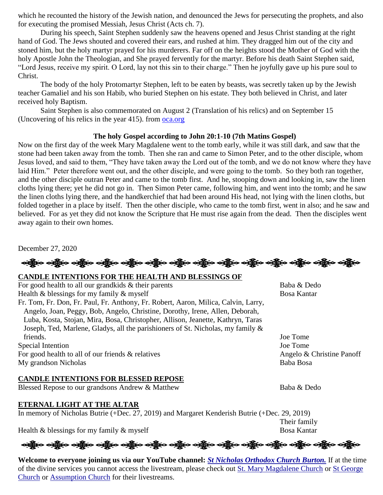which he recounted the history of the Jewish nation, and denounced the Jews for persecuting the prophets, and also for executing the promised Messiah, Jesus Christ (Acts ch. 7).

During his speech, Saint Stephen suddenly saw the heavens opened and Jesus Christ standing at the right hand of God. The Jews shouted and covered their ears, and rushed at him. They dragged him out of the city and stoned him, but the holy martyr prayed for his murderers. Far off on the heights stood the Mother of God with the holy Apostle John the Theologian, and She prayed fervently for the martyr. Before his death Saint Stephen said, "Lord Jesus, receive my spirit. O Lord, lay not this sin to their charge." Then he joyfully gave up his pure soul to Christ.

The body of the holy Protomartyr Stephen, left to be eaten by beasts, was secretly taken up by the Jewish teacher Gamaliel and his son Habib, who buried Stephen on his estate. They both believed in Christ, and later received holy Baptism.

Saint Stephen is also commemorated on August 2 (Translation of his relics) and on September 15 (Uncovering of his relics in the year 415). from [oca.org](https://www.oca.org/saints/lives/2020/12/27/103659-protomartyr-and-archdeacon-stephen)

#### **The holy Gospel according to John 20:1-10 (7th Matins Gospel)**

Now on the first day of the week Mary Magdalene went to the tomb early, while it was still dark, and saw that the stone had been taken away from the tomb. Then she ran and came to Simon Peter, and to the other disciple, whom Jesus loved, and said to them, "They have taken away the Lord out of the tomb, and we do not know where they have laid Him." Peter therefore went out, and the other disciple, and were going to the tomb. So they both ran together, and the other disciple outran Peter and came to the tomb first. And he, stooping down and looking in, saw the linen cloths lying there; yet he did not go in. Then Simon Peter came, following him, and went into the tomb; and he saw the linen cloths lying there, and the handkerchief that had been around His head, not lying with the linen cloths, but folded together in a place by itself. Then the other disciple, who came to the tomb first, went in also; and he saw and believed. For as yet they did not know the Scripture that He must rise again from the dead. Then the disciples went away again to their own homes.

December 27, 2020

ခရွို့လ ခရွို့လ ခရွို့လ ခရွို့လ ခရွို့လ ခရွို့လ ခရွို့လ ခရွို့လ ခရွို့လ ခရွို့လ ခရွို့လ ခရွို့လ ခရွို့လ ခရွို့လ

#### **CANDLE INTENTIONS FOR THE HEALTH AND BLESSINGS OF**

| For good health to all our grandkids $\&$ their parents                            | Baba & Dedo               |
|------------------------------------------------------------------------------------|---------------------------|
| Health $\&$ blessings for my family $\&$ myself                                    | <b>Bosa Kantar</b>        |
| Fr. Tom, Fr. Don, Fr. Paul, Fr. Anthony, Fr. Robert, Aaron, Milica, Calvin, Larry, |                           |
| Angelo, Joan, Peggy, Bob, Angelo, Christine, Dorothy, Irene, Allen, Deborah,       |                           |
| Luba, Kosta, Stojan, Mira, Bosa, Christopher, Allison, Jeanette, Kathryn, Taras    |                           |
| Joseph, Ted, Marlene, Gladys, all the parishioners of St. Nicholas, my family &    |                           |
| friends.                                                                           | Joe Tome                  |
| Special Intention                                                                  | Joe Tome                  |
| For good health to all of our friends $\&$ relatives                               | Angelo & Christine Panoff |
| My grandson Nicholas                                                               | Baba Bosa                 |

#### **CANDLE INTENTIONS FOR BLESSED REPOSE**

Blessed Repose to our grandsons Andrew & Matthew Baba & Dedo

#### **ETERNAL LIGHT AT THE ALTAR**

In memory of Nicholas Butrie (+Dec. 27, 2019) and Margaret Kenderish Butrie (+Dec. 29, 2019)

Health  $\&$  blessings for my family  $\&$  myself

ခရွို့က ခရွိက ခရွိက သို့သော သို့သူ သည်ဟု ခရွိက ခရွိက သည်ဟု ခရွိက သည်ဟု ခရွိက ခရွိက သည်ဟု ခရွိက

**Welcome to everyone joining us via our YouTube channel:** *[St Nicholas Orthodox Church Burton.](https://www.youtube.com/channel/UC59tV-Re443z-GCoETAUvfA)* If at the time of the divine services you cannot access the livestream, please check out [St. Mary Magdalene Church](https://www.youtube.com/channel/UClHAqZrWkXdYELujbbIslHg) or [St George](https://www.youtube.com/channel/UCpLWfxMIJK4uQOV41ekE6Wg/videos?view=2&flow=grid)  [Church](https://www.youtube.com/channel/UCpLWfxMIJK4uQOV41ekE6Wg/videos?view=2&flow=grid) or [Assumption Church](https://www.facebook.com/AssumptionGrandBlanc/) for their livestreams.

Their family<br>Bosa Kantar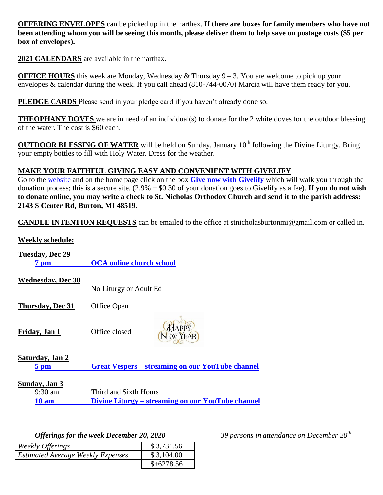**OFFERING ENVELOPES** can be picked up in the narthex. **If there are boxes for family members who have not been attending whom you will be seeing this month, please deliver them to help save on postage costs (\$5 per box of envelopes).**

**2021 CALENDARS** are available in the narthax.

**OFFICE HOURS** this week are Monday, Wednesday & Thursday 9 – 3. You are welcome to pick up your envelopes & calendar during the week. If you call ahead (810-744-0070) Marcia will have them ready for you.

**PLEDGE CARDS** Please send in your pledge card if you haven't already done so.

**THEOPHANY DOVES** we are in need of an individual(s) to donate for the 2 white doves for the outdoor blessing of the water. The cost is \$60 each.

**OUTDOOR BLESSING OF WATER** will be held on Sunday, January 10<sup>th</sup> following the Divine Liturgy. Bring your empty bottles to fill with Holy Water. Dress for the weather.

#### **MAKE YOUR FAITHFUL GIVING EASY AND CONVENIENT WITH GIVELIFY**

Go to the [website](http://www.saintnicholasburton.org/) and on the home page click on the box **[Give now with Givelify](https://www.givelify.com/givenow/1.0/Mzc5MTg=/selection)** which will walk you through the donation process; this is a secure site. (2.9% + \$0.30 of your donation goes to Givelify as a fee). **If you do not wish to donate online, you may write a check to St. Nicholas Orthodox Church and send it to the parish address: 2143 S Center Rd, Burton, MI 48519.**

**CANDLE INTENTION REQUESTS** can be emailed to the office at [stnicholasburtonmi@gmail.com](mailto:stnicholasburtonmi@gmail.com) or called in.

# **Weekly schedule: Tuesday, Dec 29 7 pm [OCA online church school](https://www.oca.org/ocs) Wednesday, Dec 30** No Liturgy or Adult Ed **Thursday, Dec 31** Office Open **Friday, Jan 1** Office closed **Saturday, Jan 2 5 pm Great Vespers – [streaming on our YouTube channel](https://www.youtube.com/watch?v=18f1833ZbNU) Sunday, Jan 3** 9:30 am Third and Sixth Hours **10 am Divine Liturgy – [streaming on our YouTube channel](https://www.youtube.com/watch?v=IkQAGX66PDM)**

| Weekly Offerings                         | \$3,731.56  |
|------------------------------------------|-------------|
| <b>Estimated Average Weekly Expenses</b> | \$3,104.00  |
|                                          | $$+6278.56$ |

*Offerings for the week December 20, 2020 39 persons in attendance on December 20th*